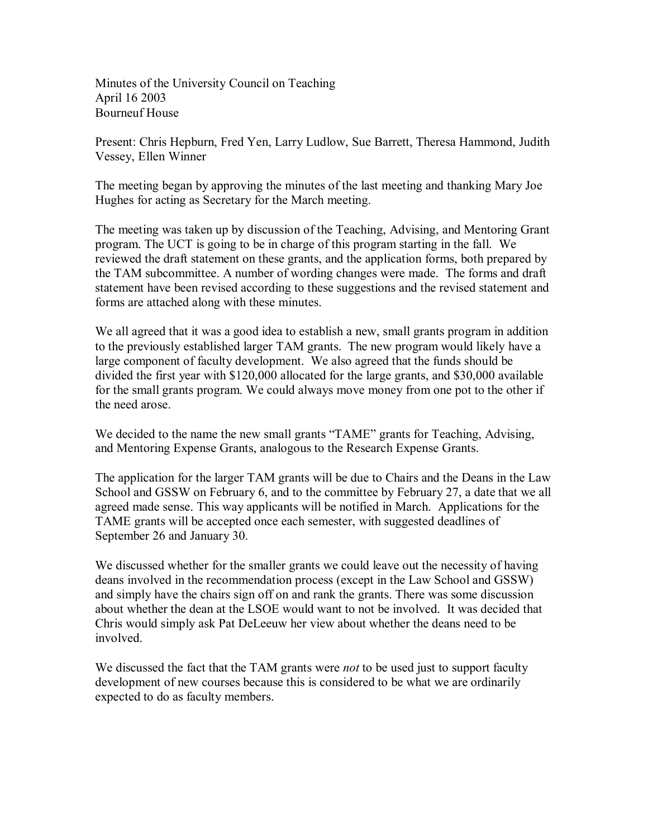Minutes of the University Council on Teaching April 16 2003 Bourneuf House

Present: Chris Hepburn, Fred Yen, Larry Ludlow, Sue Barrett, Theresa Hammond, Judith Vessey, Ellen Winner

The meeting began by approving the minutes of the last meeting and thanking Mary Joe Hughes for acting as Secretary for the March meeting.

The meeting was taken up by discussion of the Teaching, Advising, and Mentoring Grant program. The UCT is going to be in charge of this program starting in the fall. We reviewed the draft statement on these grants, and the application forms, both prepared by the TAM subcommittee. A number of wording changes were made. The forms and draft statement have been revised according to these suggestions and the revised statement and forms are attached along with these minutes.

We all agreed that it was a good idea to establish a new, small grants program in addition to the previously established larger TAM grants. The new program would likely have a large component of faculty development. We also agreed that the funds should be divided the first year with \$120,000 allocated for the large grants, and \$30,000 available for the small grants program. We could always move money from one pot to the other if the need arose.

We decided to the name the new small grants "TAME" grants for Teaching, Advising, and Mentoring Expense Grants, analogous to the Research Expense Grants.

The application for the larger TAM grants will be due to Chairs and the Deans in the Law School and GSSW on February 6, and to the committee by February 27, a date that we all agreed made sense. This way applicants will be notified in March. Applications for the TAME grants will be accepted once each semester, with suggested deadlines of September 26 and January 30.

We discussed whether for the smaller grants we could leave out the necessity of having deans involved in the recommendation process (except in the Law School and GSSW) and simply have the chairs sign off on and rank the grants. There was some discussion about whether the dean at the LSOE would want to not be involved. It was decided that Chris would simply ask Pat DeLeeuw her view about whether the deans need to be involved.

We discussed the fact that the TAM grants were *not* to be used just to support faculty development of new courses because this is considered to be what we are ordinarily expected to do as faculty members.